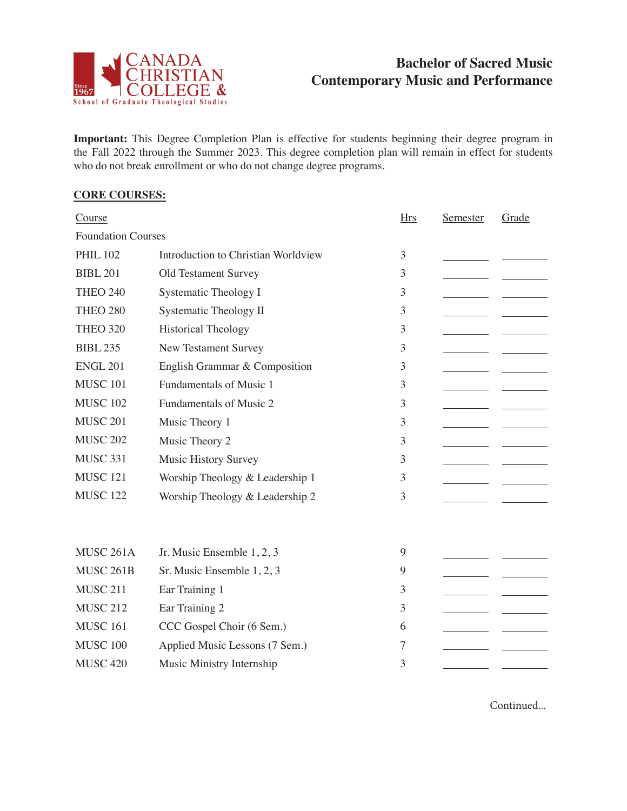

## **Bachelor of Sacred Music Contemporary Music and Performance**

**Important:** This Degree Completion Plan is effective for students beginning their degree program in the Fall 2022 through the Summer 2023. This degree completion plan will remain in effect for students who do not break enrollment or who do not change degree programs.

## **CORE COURSES:**

| Course                    |                                     | <b>Hrs</b> | Semester | Grade |  |  |  |
|---------------------------|-------------------------------------|------------|----------|-------|--|--|--|
| <b>Foundation Courses</b> |                                     |            |          |       |  |  |  |
| <b>PHIL 102</b>           | Introduction to Christian Worldview | 3          |          |       |  |  |  |
| <b>BIBL 201</b>           | Old Testament Survey                | 3          |          |       |  |  |  |
| <b>THEO 240</b>           | <b>Systematic Theology I</b>        | 3          |          |       |  |  |  |
| <b>THEO 280</b>           | <b>Systematic Theology II</b>       | 3          |          |       |  |  |  |
| <b>THEO 320</b>           | <b>Historical Theology</b>          | 3          |          |       |  |  |  |
| <b>BIBL 235</b>           | New Testament Survey                | 3          |          |       |  |  |  |
| <b>ENGL 201</b>           | English Grammar & Composition       | 3          |          |       |  |  |  |
| <b>MUSC 101</b>           | Fundamentals of Music 1             | 3          |          |       |  |  |  |
| <b>MUSC 102</b>           | Fundamentals of Music 2             | 3          |          |       |  |  |  |
| <b>MUSC 201</b>           | Music Theory 1                      | 3          |          |       |  |  |  |
| <b>MUSC 202</b>           | Music Theory 2                      | 3          |          |       |  |  |  |
| <b>MUSC 331</b>           | <b>Music History Survey</b>         | 3          |          |       |  |  |  |
| <b>MUSC 121</b>           | Worship Theology & Leadership 1     | 3          |          |       |  |  |  |
| <b>MUSC 122</b>           | Worship Theology & Leadership 2     | 3          |          |       |  |  |  |
|                           |                                     |            |          |       |  |  |  |
|                           |                                     |            |          |       |  |  |  |
| MUSC 261A                 | Jr. Music Ensemble 1, 2, 3          | 9          |          |       |  |  |  |
| MUSC 261B                 | Sr. Music Ensemble 1, 2, 3          | 9          |          |       |  |  |  |
| <b>MUSC 211</b>           | Ear Training 1                      | 3          |          |       |  |  |  |
| <b>MUSC 212</b>           | Ear Training 2                      | 3          |          |       |  |  |  |
| <b>MUSC 161</b>           | CCC Gospel Choir (6 Sem.)           | 6          |          |       |  |  |  |
| <b>MUSC 100</b>           | Applied Music Lessons (7 Sem.)      | 7          |          |       |  |  |  |
| <b>MUSC 420</b>           | Music Ministry Internship           | 3          |          |       |  |  |  |

Continued...